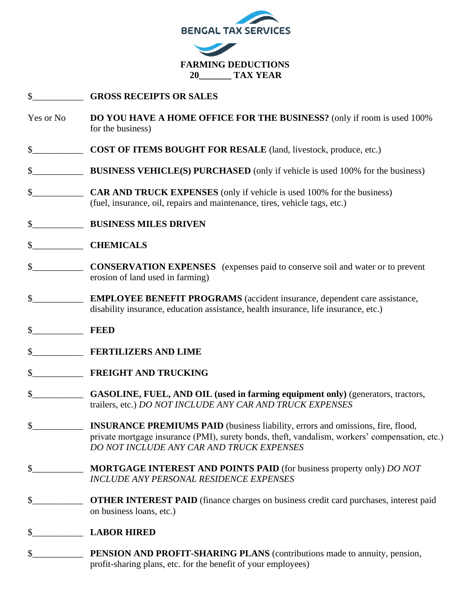

## \$\_\_\_\_\_\_\_\_\_\_\_ **GROSS RECEIPTS OR SALES**

- Yes or No **DO YOU HAVE A HOME OFFICE FOR THE BUSINESS?** (only if room is used 100% for the business)
- \$\_\_\_\_\_\_\_\_\_\_\_ **COST OF ITEMS BOUGHT FOR RESALE** (land, livestock, produce, etc.)
- **\$** BUSINESS VEHICLE(S) PURCHASED (only if vehicle is used 100% for the business)
- \$ **CAR AND TRUCK EXPENSES** (only if vehicle is used 100% for the business) (fuel, insurance, oil, repairs and maintenance, tires, vehicle tags, etc.)
- \$\_\_\_\_\_\_\_\_\_\_\_ **BUSINESS MILES DRIVEN**
- \$\_\_\_\_\_\_\_\_\_\_\_ **CHEMICALS**
- \$\_\_\_\_\_\_\_\_\_\_\_ **CONSERVATION EXPENSES** (expenses paid to conserve soil and water or to prevent erosion of land used in farming)
- \$\_\_\_\_\_\_\_\_\_\_\_ **EMPLOYEE BENEFIT PROGRAMS** (accident insurance, dependent care assistance, disability insurance, education assistance, health insurance, life insurance, etc.)
- \$\_\_\_\_\_\_\_\_\_\_\_ **FEED**
- \$\_\_\_\_\_\_\_\_\_\_\_ **FERTILIZERS AND LIME**
- \$\_\_\_\_\_\_\_\_\_\_\_ **FREIGHT AND TRUCKING**
- \$\_\_\_\_\_\_\_\_\_\_\_ **GASOLINE, FUEL, AND OIL (used in farming equipment only)** (generators, tractors, trailers, etc.) *DO NOT INCLUDE ANY CAR AND TRUCK EXPENSES*
- \$\_\_\_\_\_\_\_\_\_\_\_ **INSURANCE PREMIUMS PAID** (business liability, errors and omissions, fire, flood, private mortgage insurance (PMI), surety bonds, theft, vandalism, workers' compensation, etc.) *DO NOT INCLUDE ANY CAR AND TRUCK EXPENSES*
- \$\_\_\_\_\_\_\_\_\_\_\_ **MORTGAGE INTEREST AND POINTS PAID** (for business property only) *DO NOT INCLUDE ANY PERSONAL RESIDENCE EXPENSES*
- **\$ OTHER INTEREST PAID** (finance charges on business credit card purchases, interest paid on business loans, etc.)

## \$\_\_\_\_\_\_\_\_\_\_\_ **LABOR HIRED**

\$\_\_\_\_\_\_\_\_\_\_\_ **PENSION AND PROFIT-SHARING PLANS** (contributions made to annuity, pension, profit-sharing plans, etc. for the benefit of your employees)